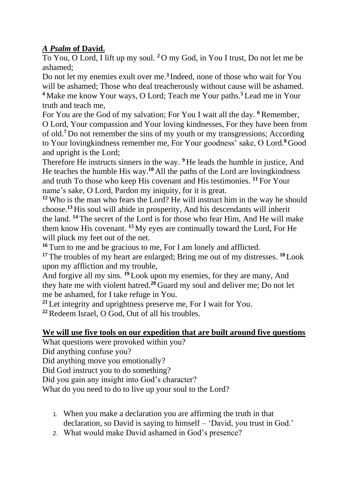## *A Psalm* **of David.**

To You, O Lord, I lift up my soul. **<sup>2</sup>** O my God, in You I trust, Do not let me be ashamed;

Do not let my enemies exult over me.**<sup>3</sup>** Indeed, none of those who wait for You will be ashamed; Those who deal treacherously without cause will be ashamed. **<sup>4</sup>** Make me know Your ways, O Lord; Teach me Your paths.**<sup>5</sup>** Lead me in Your truth and teach me,

For You are the God of my salvation; For You I wait all the day. <sup>6</sup>Remember, O Lord, Your compassion and Your loving kindnesses, For they have been from of old.**<sup>7</sup>** Do not remember the sins of my youth or my transgressions; According to Your lovingkindness remember me, For Your goodness' sake, O Lord.**<sup>8</sup>** Good and upright is the Lord;

Therefore He instructs sinners in the way. **<sup>9</sup>** He leads the humble in justice, And He teaches the humble His way.**<sup>10</sup>** All the paths of the Lord are lovingkindness and truth To those who keep His covenant and His testimonies. **<sup>11</sup>** For Your name's sake, O Lord, Pardon my iniquity, for it is great.

**<sup>12</sup>** Who is the man who fears the Lord? He will instruct him in the way he should choose.**<sup>13</sup>** His soul will abide in prosperity, And his descendants will inherit the land. **<sup>14</sup>** The secret of the Lord is for those who fear Him, And He will make them know His covenant. **<sup>15</sup>** My eyes are continually toward the Lord, For He will pluck my feet out of the net.

**<sup>16</sup>** Turn to me and be gracious to me, For I am lonely and afflicted. **<sup>17</sup>** The troubles of my heart are enlarged; Bring me out of my distresses. **<sup>18</sup>** Look

upon my affliction and my trouble,

And forgive all my sins. <sup>19</sup> Look upon my enemies, for they are many, And they hate me with violent hatred.**<sup>20</sup>** Guard my soul and deliver me; Do not let me be ashamed, for I take refuge in You.

**<sup>21</sup>** Let integrity and uprightness preserve me, For I wait for You.

**<sup>22</sup>**Redeem Israel, O God, Out of all his troubles.

## **We will use five tools on our expedition that are built around five questions**

What questions were provoked within you?

Did anything confuse you?

Did anything move you emotionally?

Did God instruct you to do something?

Did you gain any insight into God's character?

What do you need to do to live up your soul to the Lord?

- 1. When you make a declaration you are affirming the truth in that declaration, so David is saying to himself – 'David, you trust in God.'
- 2. What would make David ashamed in God's presence?